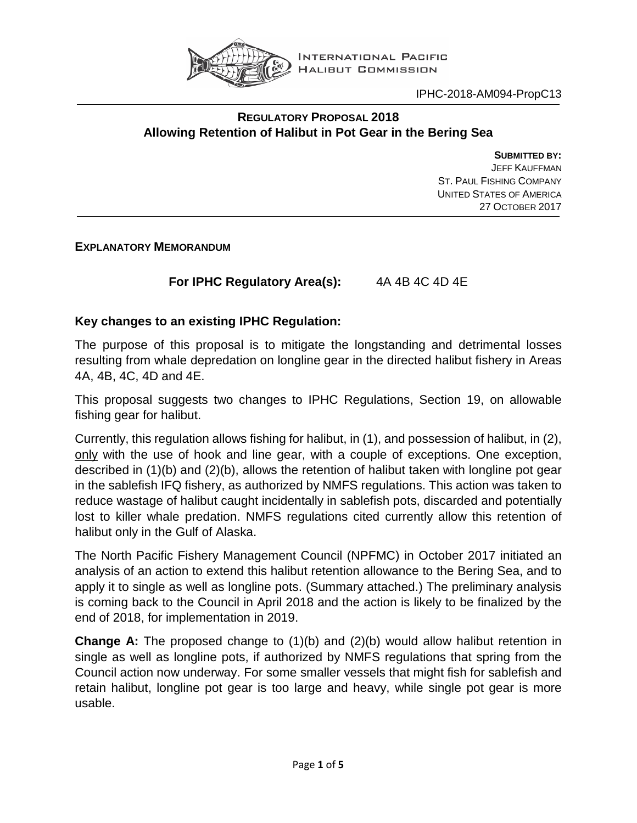

#### **REGULATORY PROPOSAL 2018 Allowing Retention of Halibut in Pot Gear in the Bering Sea**

**SUBMITTED BY:** JEFF KAUFFMAN ST. PAUL FISHING COMPANY UNITED STATES OF AMERICA 27 OCTOBER 2017

**EXPLANATORY MEMORANDUM**

**For IPHC Regulatory Area(s):** 4A 4B 4C 4D 4E

# **Key changes to an existing IPHC Regulation:**

The purpose of this proposal is to mitigate the longstanding and detrimental losses resulting from whale depredation on longline gear in the directed halibut fishery in Areas 4A, 4B, 4C, 4D and 4E.

This proposal suggests two changes to IPHC Regulations, Section 19, on allowable fishing gear for halibut.

Currently, this regulation allows fishing for halibut, in (1), and possession of halibut, in (2), only with the use of hook and line gear, with a couple of exceptions. One exception, described in (1)(b) and (2)(b), allows the retention of halibut taken with longline pot gear in the sablefish IFQ fishery, as authorized by NMFS regulations. This action was taken to reduce wastage of halibut caught incidentally in sablefish pots, discarded and potentially lost to killer whale predation. NMFS regulations cited currently allow this retention of halibut only in the Gulf of Alaska.

The North Pacific Fishery Management Council (NPFMC) in October 2017 initiated an analysis of an action to extend this halibut retention allowance to the Bering Sea, and to apply it to single as well as longline pots. (Summary attached.) The preliminary analysis is coming back to the Council in April 2018 and the action is likely to be finalized by the end of 2018, for implementation in 2019.

**Change A:** The proposed change to (1)(b) and (2)(b) would allow halibut retention in single as well as longline pots, if authorized by NMFS regulations that spring from the Council action now underway. For some smaller vessels that might fish for sablefish and retain halibut, longline pot gear is too large and heavy, while single pot gear is more usable.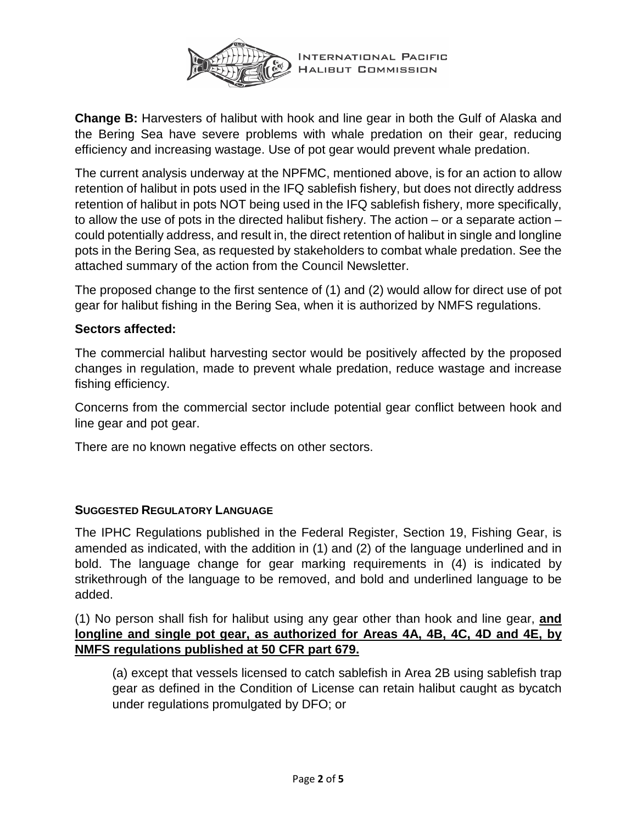

**Change B:** Harvesters of halibut with hook and line gear in both the Gulf of Alaska and the Bering Sea have severe problems with whale predation on their gear, reducing efficiency and increasing wastage. Use of pot gear would prevent whale predation.

The current analysis underway at the NPFMC, mentioned above, is for an action to allow retention of halibut in pots used in the IFQ sablefish fishery, but does not directly address retention of halibut in pots NOT being used in the IFQ sablefish fishery, more specifically, to allow the use of pots in the directed halibut fishery. The action – or a separate action – could potentially address, and result in, the direct retention of halibut in single and longline pots in the Bering Sea, as requested by stakeholders to combat whale predation. See the attached summary of the action from the Council Newsletter.

The proposed change to the first sentence of (1) and (2) would allow for direct use of pot gear for halibut fishing in the Bering Sea, when it is authorized by NMFS regulations.

## **Sectors affected:**

The commercial halibut harvesting sector would be positively affected by the proposed changes in regulation, made to prevent whale predation, reduce wastage and increase fishing efficiency.

Concerns from the commercial sector include potential gear conflict between hook and line gear and pot gear.

There are no known negative effects on other sectors.

### **SUGGESTED REGULATORY LANGUAGE**

The IPHC Regulations published in the Federal Register, Section 19, Fishing Gear, is amended as indicated, with the addition in (1) and (2) of the language underlined and in bold. The language change for gear marking requirements in (4) is indicated by strikethrough of the language to be removed, and bold and underlined language to be added.

(1) No person shall fish for halibut using any gear other than hook and line gear, **and longline and single pot gear, as authorized for Areas 4A, 4B, 4C, 4D and 4E, by NMFS regulations published at 50 CFR part 679.**

(a) except that vessels licensed to catch sablefish in Area 2B using sablefish trap gear as defined in the Condition of License can retain halibut caught as bycatch under regulations promulgated by DFO; or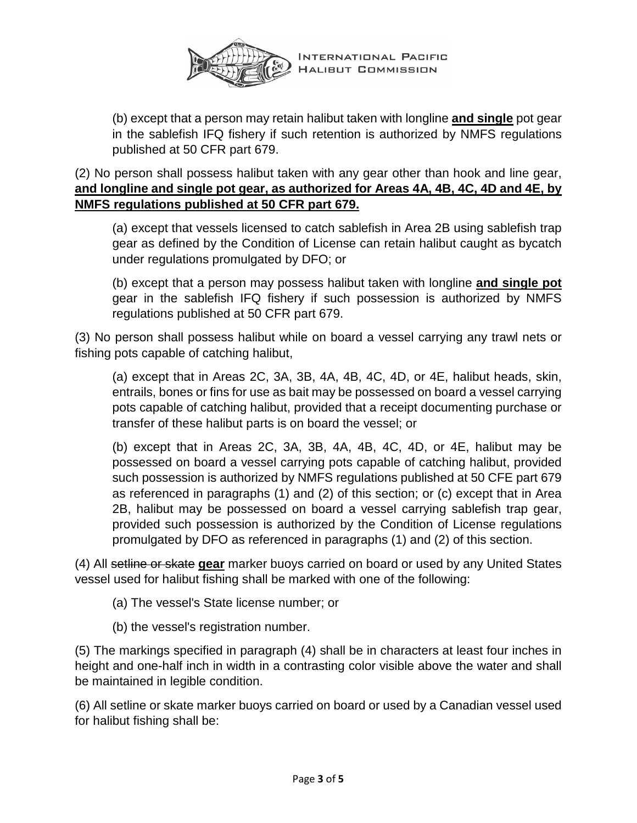

INTERNATIONAL PACIFIC **HALIBUT COMMISSION** 

(b) except that a person may retain halibut taken with longline **and single** pot gear in the sablefish IFQ fishery if such retention is authorized by NMFS regulations published at 50 CFR part 679.

(2) No person shall possess halibut taken with any gear other than hook and line gear, **and longline and single pot gear, as authorized for Areas 4A, 4B, 4C, 4D and 4E, by NMFS regulations published at 50 CFR part 679.**

(a) except that vessels licensed to catch sablefish in Area 2B using sablefish trap gear as defined by the Condition of License can retain halibut caught as bycatch under regulations promulgated by DFO; or

(b) except that a person may possess halibut taken with longline **and single pot** gear in the sablefish IFQ fishery if such possession is authorized by NMFS regulations published at 50 CFR part 679.

(3) No person shall possess halibut while on board a vessel carrying any trawl nets or fishing pots capable of catching halibut,

(a) except that in Areas 2C, 3A, 3B, 4A, 4B, 4C, 4D, or 4E, halibut heads, skin, entrails, bones or fins for use as bait may be possessed on board a vessel carrying pots capable of catching halibut, provided that a receipt documenting purchase or transfer of these halibut parts is on board the vessel; or

(b) except that in Areas 2C, 3A, 3B, 4A, 4B, 4C, 4D, or 4E, halibut may be possessed on board a vessel carrying pots capable of catching halibut, provided such possession is authorized by NMFS regulations published at 50 CFE part 679 as referenced in paragraphs (1) and (2) of this section; or (c) except that in Area 2B, halibut may be possessed on board a vessel carrying sablefish trap gear, provided such possession is authorized by the Condition of License regulations promulgated by DFO as referenced in paragraphs (1) and (2) of this section.

(4) All setline or skate **gear** marker buoys carried on board or used by any United States vessel used for halibut fishing shall be marked with one of the following:

(a) The vessel's State license number; or

(b) the vessel's registration number.

(5) The markings specified in paragraph (4) shall be in characters at least four inches in height and one-half inch in width in a contrasting color visible above the water and shall be maintained in legible condition.

(6) All setline or skate marker buoys carried on board or used by a Canadian vessel used for halibut fishing shall be: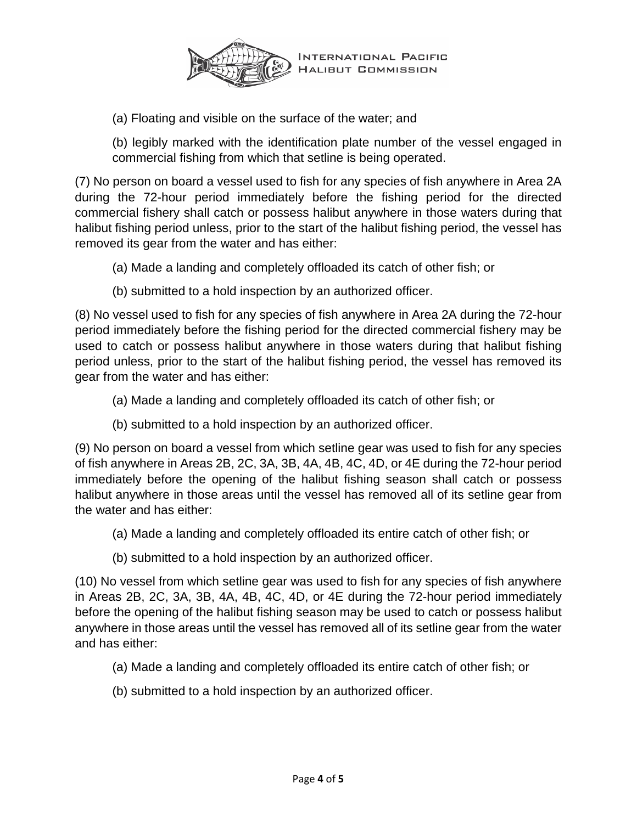

(a) Floating and visible on the surface of the water; and

(b) legibly marked with the identification plate number of the vessel engaged in commercial fishing from which that setline is being operated.

(7) No person on board a vessel used to fish for any species of fish anywhere in Area 2A during the 72-hour period immediately before the fishing period for the directed commercial fishery shall catch or possess halibut anywhere in those waters during that halibut fishing period unless, prior to the start of the halibut fishing period, the vessel has removed its gear from the water and has either:

- (a) Made a landing and completely offloaded its catch of other fish; or
- (b) submitted to a hold inspection by an authorized officer.

(8) No vessel used to fish for any species of fish anywhere in Area 2A during the 72-hour period immediately before the fishing period for the directed commercial fishery may be used to catch or possess halibut anywhere in those waters during that halibut fishing period unless, prior to the start of the halibut fishing period, the vessel has removed its gear from the water and has either:

- (a) Made a landing and completely offloaded its catch of other fish; or
- (b) submitted to a hold inspection by an authorized officer.

(9) No person on board a vessel from which setline gear was used to fish for any species of fish anywhere in Areas 2B, 2C, 3A, 3B, 4A, 4B, 4C, 4D, or 4E during the 72-hour period immediately before the opening of the halibut fishing season shall catch or possess halibut anywhere in those areas until the vessel has removed all of its setline gear from the water and has either:

- (a) Made a landing and completely offloaded its entire catch of other fish; or
- (b) submitted to a hold inspection by an authorized officer.

(10) No vessel from which setline gear was used to fish for any species of fish anywhere in Areas 2B, 2C, 3A, 3B, 4A, 4B, 4C, 4D, or 4E during the 72-hour period immediately before the opening of the halibut fishing season may be used to catch or possess halibut anywhere in those areas until the vessel has removed all of its setline gear from the water and has either:

- (a) Made a landing and completely offloaded its entire catch of other fish; or
- (b) submitted to a hold inspection by an authorized officer.